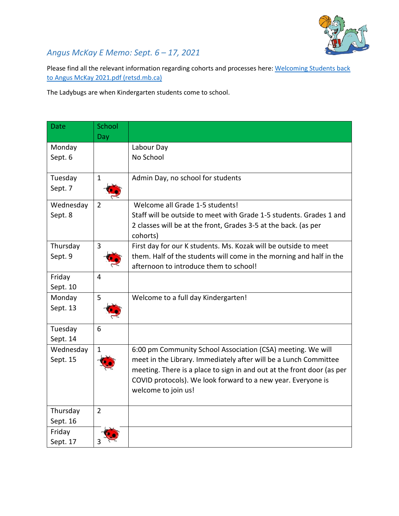

## *Angus McKay E Memo: Sept. 6 – 17, 2021*

Please find all the relevant information regarding cohorts and processes here: Welcoming Students back [to Angus McKay 2021.pdf \(retsd.mb.ca\)](https://www.retsd.mb.ca/school/am/Parentsandcommunity/Newsletters/Documents/Welcoming%20Students%20back%20to%20Angus%20McKay%202021.pdf)

The Ladybugs are when Kindergarten students come to school.

| <b>Date</b> | School         |                                                                        |
|-------------|----------------|------------------------------------------------------------------------|
|             | Day            |                                                                        |
| Monday      |                | Labour Day                                                             |
| Sept. 6     |                | No School                                                              |
| Tuesday     | $\mathbf{1}$   | Admin Day, no school for students                                      |
| Sept. 7     |                |                                                                        |
| Wednesday   | 2              | Welcome all Grade 1-5 students!                                        |
| Sept. 8     |                | Staff will be outside to meet with Grade 1-5 students. Grades 1 and    |
|             |                | 2 classes will be at the front, Grades 3-5 at the back. (as per        |
|             |                | cohorts)                                                               |
| Thursday    | $\overline{3}$ | First day for our K students. Ms. Kozak will be outside to meet        |
| Sept. 9     |                | them. Half of the students will come in the morning and half in the    |
|             |                | afternoon to introduce them to school!                                 |
| Friday      | $\overline{4}$ |                                                                        |
| Sept. 10    |                |                                                                        |
| Monday      | 5              | Welcome to a full day Kindergarten!                                    |
| Sept. 13    |                |                                                                        |
| Tuesday     | 6              |                                                                        |
| Sept. 14    |                |                                                                        |
| Wednesday   | 1              | 6:00 pm Community School Association (CSA) meeting. We will            |
| Sept. 15    |                | meet in the Library. Immediately after will be a Lunch Committee       |
|             |                | meeting. There is a place to sign in and out at the front door (as per |
|             |                | COVID protocols). We look forward to a new year. Everyone is           |
|             |                | welcome to join us!                                                    |
|             |                |                                                                        |
| Thursday    | $\overline{2}$ |                                                                        |
| Sept. 16    |                |                                                                        |
| Friday      |                |                                                                        |
| Sept. 17    |                |                                                                        |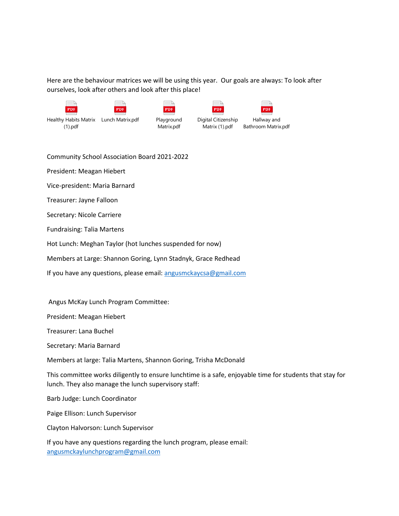Here are the behaviour matrices we will be using this year. Our goals are always: To look after ourselves, look after others and look after this place!

| $\equiv$<br>PDF       | PDF              | $=$<br><b>PDF</b> | <b>PDF</b>          | PDE                 |
|-----------------------|------------------|-------------------|---------------------|---------------------|
| Healthy Habits Matrix | Lunch Matrix.pdf | Playground        | Digital Citizenship | Hallway and         |
| (1).pdf               |                  | Matrix.pdf        | Matrix (1).pdf      | Bathroom Matrix.pdf |

Community School Association Board 2021-2022

President: Meagan Hiebert

Vice-president: Maria Barnard

Treasurer: Jayne Falloon

Secretary: Nicole Carriere

Fundraising: Talia Martens

Hot Lunch: Meghan Taylor (hot lunches suspended for now)

Members at Large: Shannon Goring, Lynn Stadnyk, Grace Redhead

If you have any questions, please email: [angusmckaycsa@gmail.com](mailto:angusmckaycsa@gmail.com)

Angus McKay Lunch Program Committee:

President: Meagan Hiebert

Treasurer: Lana Buchel

Secretary: Maria Barnard

Members at large: Talia Martens, Shannon Goring, Trisha McDonald

This committee works diligently to ensure lunchtime is a safe, enjoyable time for students that stay for lunch. They also manage the lunch supervisory staff:

Barb Judge: Lunch Coordinator

Paige Ellison: Lunch Supervisor

Clayton Halvorson: Lunch Supervisor

If you have any questions regarding the lunch program, please email: [angusmckaylunchprogram@gmail.com](mailto:angusmckaylunchprogram@gmail.com)